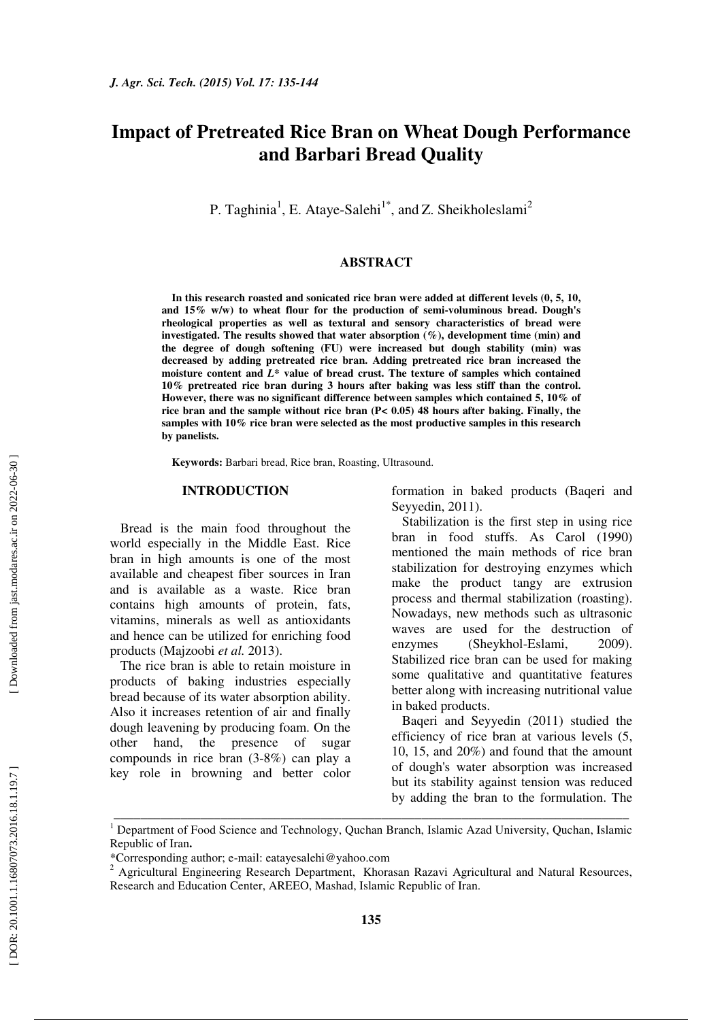# **Impact of Pretreated Rice Bran on Wheat Dough Performance and Barbari Bread Quality**

P. Taghinia<sup>1</sup>, E. Ataye-Salehi<sup>1\*</sup>, and Z. Sheikholeslami<sup>2</sup>

## **ABSTRACT**

**In this research roasted and sonicated rice bran were added at different levels (0, 5, 10, and 15% w/w) to wheat flour for the production of semi-voluminous bread. Dough's rheological properties as well as textural and sensory characteristics of bread were investigated. The results showed that water absorption (%), development time (min) and the degree of dough softening (FU) were increased but dough stability (min) was decreased by adding pretreated rice bran. Adding pretreated rice bran increased the moisture content and** *L\** **value of bread crust. The texture of samples which contained 10% pretreated rice bran during 3 hours after baking was less stiff than the control. However, there was no significant difference between samples which contained 5, 10% of rice bran and the sample without rice bran (P< 0.05) 48 hours after baking. Finally, the samples with 10% rice bran were selected as the most productive samples in this research by panelists.** 

**Keywords:** Barbari bread, Rice bran, Roasting, Ultrasound.

## **INTRODUCTION**

Bread is the main food throughout the world especially in the Middle East. Rice bran in high amounts is one of the most available and cheapest fiber sources in Iran and is available as a waste. Rice bran contains high amounts of protein, fats, vitamins, minerals as well as antioxidants and hence can be utilized for enriching food products (Majzoobi *et al.* 2013).

The rice bran is able to retain moisture in products of baking industries especially bread because of its water absorption ability. Also it increases retention of air and finally dough leavening by producing foam. On the other hand, the presence of sugar compounds in rice bran (3-8%) can play a key role in browning and better color formation in baked products (Baqeri and Seyyedin, 2011).

Stabilization is the first step in using rice bran in food stuffs. As Carol (1990) mentioned the main methods of rice bran stabilization for destroying enzymes which make the product tangy are extrusion process and thermal stabilization (roasting). Nowadays, new methods such as ultrasonic waves are used for the destruction of enzymes (Sheykhol-Eslami, 2009). Stabilized rice bran can be used for making some qualitative and quantitative features better along with increasing nutritional value in baked products.

Baqeri and Seyyedin (2011) studied the efficiency of rice bran at various levels (5, 10, 15, and 20%) and found that the amount of dough's water absorption was increased but its stability against tension was reduced by adding the bran to the formulation. The

\_\_\_\_\_\_\_\_\_\_\_\_\_\_\_\_\_\_\_\_\_\_\_\_\_\_\_\_\_\_\_\_\_\_\_\_\_\_\_\_\_\_\_\_\_\_\_\_\_\_\_\_\_\_\_\_\_\_\_\_\_\_\_\_\_\_\_\_\_\_\_\_\_\_\_\_\_

<sup>&</sup>lt;sup>1</sup> Department of Food Science and Technology, Quchan Branch, Islamic Azad University, Quchan, Islamic Republic of Iran **.**

<sup>\*</sup>Corresponding author; e-mail: eatayesalehi@yahoo.com <sup>2</sup>

<sup>&</sup>lt;sup>2</sup> Agricultural Engineering Research Department, Khorasan Razavi Agricultural and Natural Resources, Research and Education Center, AREEO, Mashad, Islamic Republic of Iran.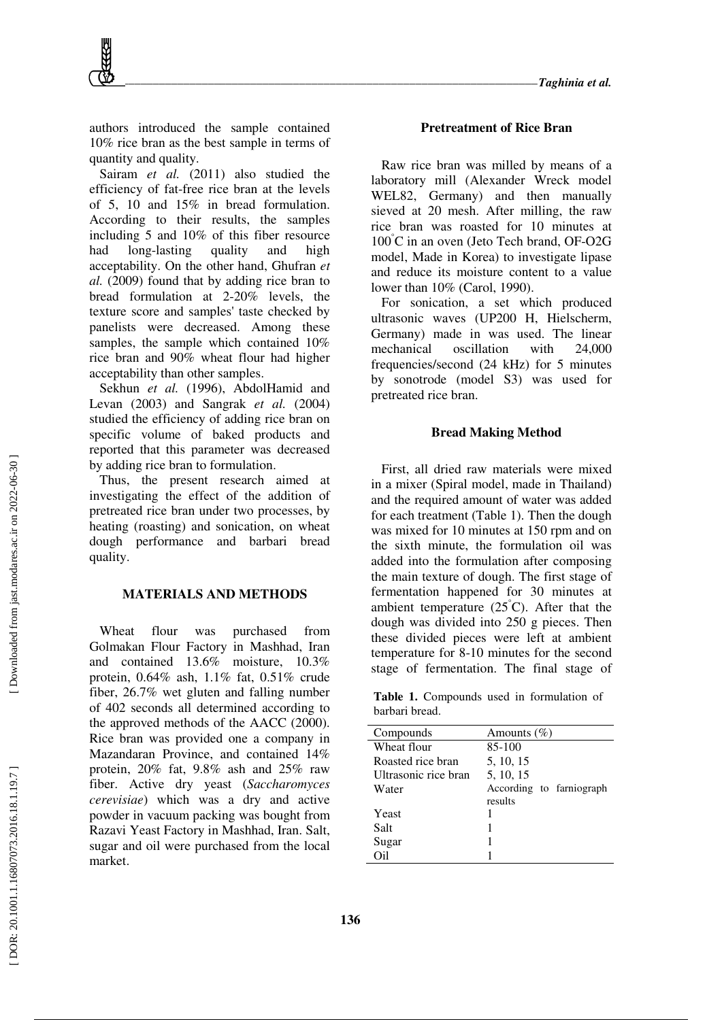authors introduced the sample contained 10% rice bran as the best sample in terms of quantity and quality.

Sairam *et al.* (2011) also studied the efficiency of fat-free rice bran at the levels of 5, 10 and 15% in bread formulation. According to their results, the samples including 5 and 10% of this fiber resource had long-lasting quality and high acceptability. On the other hand, Ghufran *et al.* (2009) found that by adding rice bran to bread formulation at 2-20% levels, the texture score and samples' taste checked by panelists were decreased. Among these samples, the sample which contained 10% rice bran and 90% wheat flour had higher acceptability than other samples.

Sekhun et al. (1996), AbdolHamid and Levan (2003) and Sangrak *et al.* (2004) studied the efficiency of adding rice bran on specific volume of baked products and reported that this parameter was decreased by adding rice bran to formulation.

Thus, the present research aimed at investigating the effect of the addition of pretreated rice bran under two processes, by heating (roasting) and sonication, on wheat dough performance and barbari bread quality.

## **MATERIALS AND METHODS**

Wheat flour was purchased from Golmakan Flour Factory in Mashhad, Iran and contained 13.6% moisture, 10.3% protein, 0.64% ash, 1.1% fat, 0.51% crude fiber, 26.7% wet gluten and falling number of 402 seconds all determined according to the approved methods of the AACC (2000). Rice bran was provided one a company in Mazandaran Province, and contained 14% protein, 20% fat, 9.8% ash and 25% raw fiber. Active dry yeast (*Saccharomyces cerevisiae*) which was a dry and active powder in vacuum packing was bought from Razavi Yeast Factory in Mashhad, Iran. Salt, sugar and oil were purchased from the local market.

#### **Pretreatment of Rice Bran**

Raw rice bran was milled by means of a laboratory mill (Alexander Wreck model WEL82, Germany) and then manually sieved at 20 mesh. After milling, the raw rice bran was roasted for 10 minutes at 100 °C in an oven (Jeto Tech brand, OF-O2G model, Made in Korea) to investigate lipase and reduce its moisture content to a value lower than 10% (Carol, 1990).

For sonication, a set which produced ultrasonic waves (UP200 H, Hielscherm, Germany) made in was used. The linear mechanical oscillation with 24,000 frequencies/second (24 kHz) for 5 minutes by sonotrode (model S3) was used for pretreated rice bran.

## **Bread Making Method**

First, all dried raw materials were mixed in a mixer (Spiral model, made in Thailand) and the required amount of water was added for each treatment (Table 1). Then the dough was mixed for 10 minutes at 150 rpm and on the sixth minute, the formulation oil was added into the formulation after composing the main texture of dough. The first stage of fermentation happened for 30 minutes at ambient temperature (25°C). After that the dough was divided into 250 g pieces. Then these divided pieces were left at ambient temperature for 8-10 minutes for the second stage of fermentation. The final stage of

**Table 1.** Compounds used in formulation of barbari bread.

| Compounds            | Amounts $(\% )$          |
|----------------------|--------------------------|
| Wheat flour          | 85-100                   |
| Roasted rice bran    | 5, 10, 15                |
| Ultrasonic rice bran | 5, 10, 15                |
| Water                | According to farniograph |
|                      | results                  |
| Yeast                |                          |
| Salt                 |                          |
| Sugar                |                          |
| O <sub>i</sub> 1     |                          |
|                      |                          |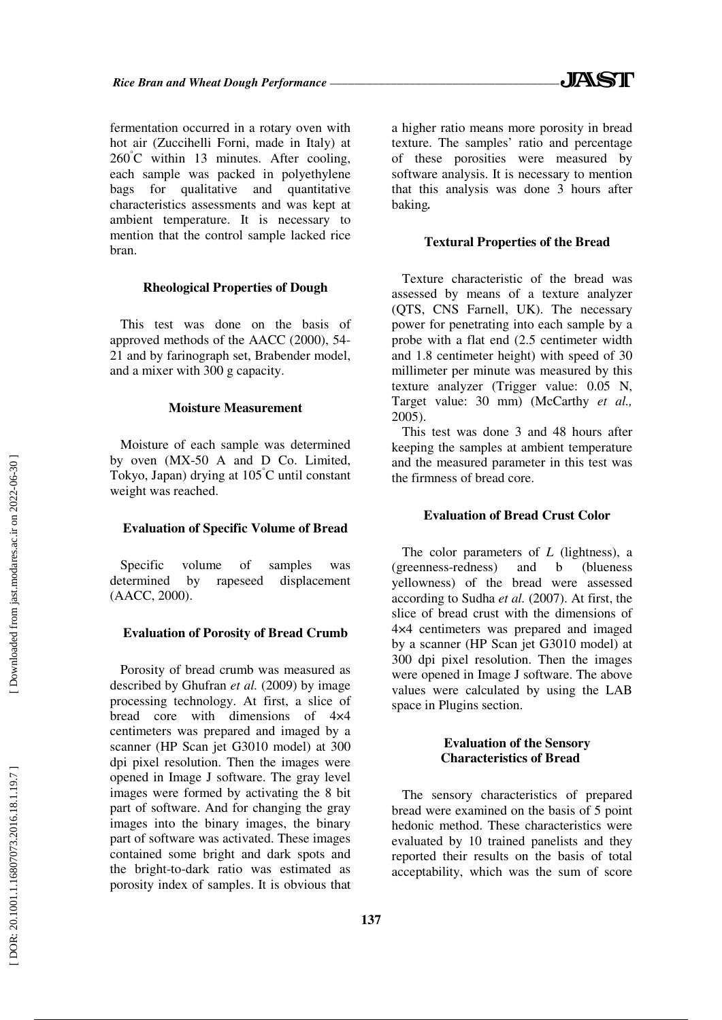fermentation occurred in a rotary oven with hot air (Zuccihelli Forni, made in Italy) at 260 °C within 13 minutes. After cooling, each sample was packed in polyethylene bags for qualitative and quantitative characteristics assessments and was kept at ambient temperature. It is necessary to mention that the control sample lacked rice bran.

## **Rheological Properties of Dough**

This test was done on the basis of approved methods of the AACC (2000), 54- 21 and by farinograph set, Brabender model, and a mixer with 300 g capacity.

### **Moisture Measurement**

Moisture of each sample was determined by oven (MX-50 A and D Co. Limited, Tokyo, Japan) drying at 105 °C until constant weight was reached.

#### **Evaluation of Specific Volume of Bread**

Specific volume of samples was determined by rapeseed displacement (AACC, 2000).

## **Evaluation of Porosity of Bread Crumb**

Porosity of bread crumb was measured as described by Ghufran *et al.* (2009) by image processing technology. At first, a slice of bread core with dimensions of 4×4 centimeters was prepared and imaged by a scanner (HP Scan jet G3010 model) at 300 dpi pixel resolution. Then the images were opened in Image J software. The gray level images were formed by activating the 8 bit part of software. And for changing the gray images into the binary images, the binary part of software was activated. These images contained some bright and dark spots and the bright-to-dark ratio was estimated as porosity index of samples. It is obvious that a higher ratio means more porosity in bread texture. The samples' ratio and percentage of these porosities were measured by software analysis. It is necessary to mention that this analysis was done 3 hours after baking*.* 

## **Textural Properties of the Bread**

Texture characteristic of the bread was assessed by means of a texture analyzer (QTS, CNS Farnell, UK). The necessary power for penetrating into each sample by a probe with a flat end (2.5 centimeter width and 1.8 centimeter height) with speed of 30 millimeter per minute was measured by this texture analyzer (Trigger value: 0.05 N, Target value: 30 mm) (McCarthy *et al.,* 2005).

This test was done 3 and 48 hours after keeping the samples at ambient temperature and the measured parameter in this test was the firmness of bread core.

## **Evaluation of Bread Crust Color**

The color parameters of *L* (lightness), a (greenness-redness) and b (blueness yellowness) of the bread were assessed according to Sudha *et al.* (2007). At first, the slice of bread crust with the dimensions of 4×4 centimeters was prepared and imaged by a scanner (HP Scan jet G3010 model) at 300 dpi pixel resolution. Then the images were opened in Image J software. The above values were calculated by using the LAB space in Plugins section.

## **Evaluation of the Sensory Characteristics of Bread**

The sensory characteristics of prepared bread were examined on the basis of 5 point hedonic method. These characteristics were evaluated by 10 trained panelists and they reported their results on the basis of total acceptability, which was the sum of score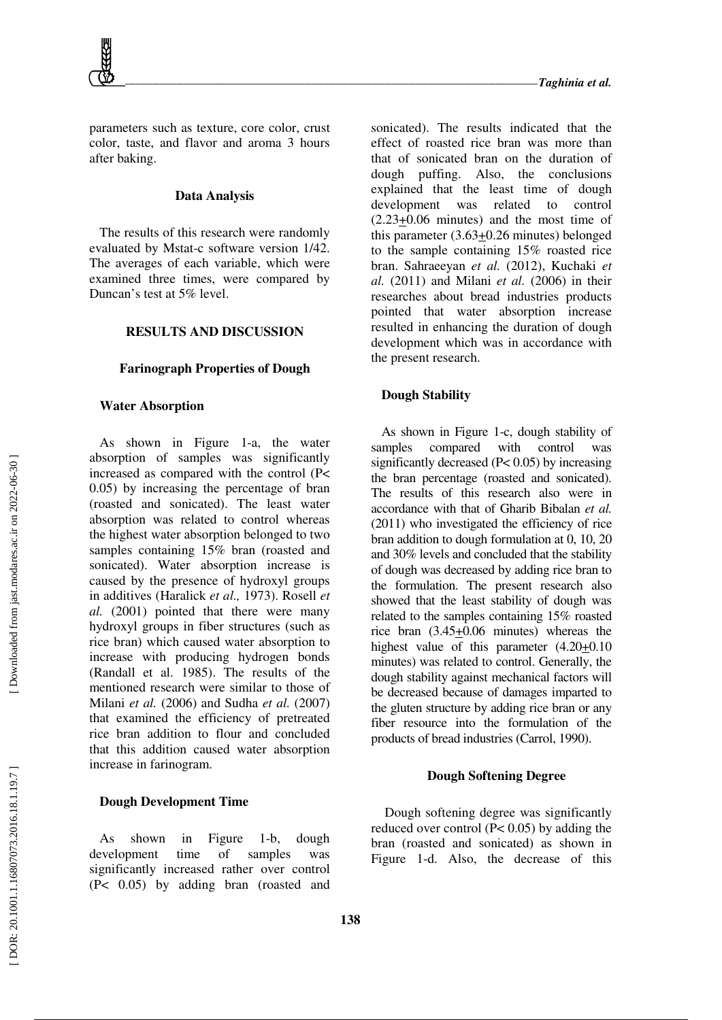parameters such as texture, core color, crust color, taste, and flavor and aroma 3 hours after baking.

## **Data Analysis**

The results of this research were randomly evaluated by Mstat-c software version 1/42. The averages of each variable, which were examined three times, were compared by Duncan's test at 5% level.

# **RESULTS AND DISCUSSION**

## **Farinograph Properties of Dough**

## **Water Absorption**

As shown in Figure 1-a, the water absorption of samples was significantly increased as compared with the control (P< 0.05) by increasing the percentage of bran (roasted and sonicated). The least water absorption was related to control whereas the highest water absorption belonged to two samples containing 15% bran (roasted and sonicated). Water absorption increase is caused by the presence of hydroxyl groups in additives (Haralick *et al.,* 1973). Rosell *et al.* (2001) pointed that there were many hydroxyl groups in fiber structures (such as rice bran) which caused water absorption to increase with producing hydrogen bonds (Randall et al. 1985). The results of the mentioned research were similar to those of Milani *et al.* (2006) and Sudha *et al.* (2007) that examined the efficiency of pretreated rice bran addition to flour and concluded that this addition caused water absorption increase in farinogram.

# **Dough Development Time**

As shown in Figure 1-b, dough development time of samples was significantly increased rather over control (P< 0.05) by adding bran (roasted and sonicated). The results indicated that the effect of roasted rice bran was more than that of sonicated bran on the duration of dough puffing. Also, the conclusions explained that the least time of dough development was related to control (2.23+0.06 minutes) and the most time of this parameter  $(3.63 \pm 0.26$  minutes) belonged to the sample containing 15% roasted rice bran. Sahraeeyan *et al.* (2012), Kuchaki *et al.* (2011) and Milani *et al.* (2006) in their researches about bread industries products pointed that water absorption increase resulted in enhancing the duration of dough development which was in accordance with the present research.

# **Dough Stability**

As shown in Figure 1-c, dough stability of samples compared with control was significantly decreased (P< 0.05) by increasing the bran percentage (roasted and sonicated). The results of this research also were in accordance with that of Gharib Bibalan *et al.* (2011) who investigated the efficiency of rice bran addition to dough formulation at 0, 10, 20 and 30% levels and concluded that the stability of dough was decreased by adding rice bran to the formulation. The present research also showed that the least stability of dough was related to the samples containing 15% roasted rice bran (3.45+0.06 minutes) whereas the highest value of this parameter  $(4.20+0.10)$ minutes) was related to control. Generally, the dough stability against mechanical factors will be decreased because of damages imparted to the gluten structure by adding rice bran or any fiber resource into the formulation of the products of bread industries (Carrol, 1990).

## **Dough Softening Degree**

 Dough softening degree was significantly reduced over control (P< 0.05) by adding the bran (roasted and sonicated) as shown in Figure 1-d. Also, the decrease of this

Downloaded from jast.modares.ac.ir on 2022-06-30 ]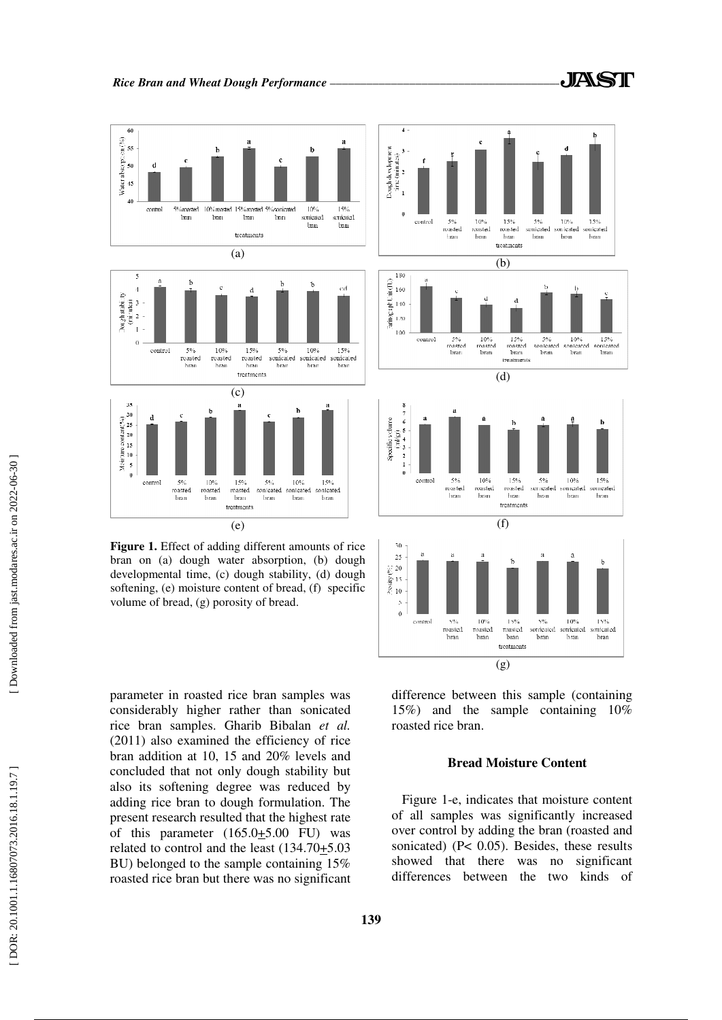

bran on (a) dough water absorption, (b) dough developmental time, (c) dough stability, (d) dough softening, (e) moisture content of bread, (f) specific volume of bread, (g) porosity of bread.

parameter in roasted rice bran samples was considerably higher rather than sonicated rice bran samples. Gharib Bibalan *et al.* (2011) also examined the efficiency of rice bran addition at 10, 15 and 20% levels and concluded that not only dough stability but also its softening degree was reduced by adding rice bran to dough formulation. The present research resulted that the highest rate of this parameter  $(165.0+5.00)$  FU) was related to control and the least (134.70+5.03 BU) belonged to the sample containing 15% roasted rice bran but there was no significant

 $\theta$ control 5%<br>roasted 10%  $1.500$  $50'$  $100/$  $15%$ <br>sonicated roasted masted ove<br>sonicated sonicated bran hran bran **bran** bran bran treatments (g) difference between this sample (containing

15%) and the sample containing 10% roasted rice bran.

## **Bread Moisture Content**

Figure 1-e, indicates that moisture content of all samples was significantly increased over control by adding the bran (roasted and sonicated) (P< 0.05). Besides, these results showed that there was no significant differences between the two kinds of

 $\mathbf{h}$ 

 $15%$ 

ansus<br>bran

 $\mathbf{b}$ 

 $\cdot$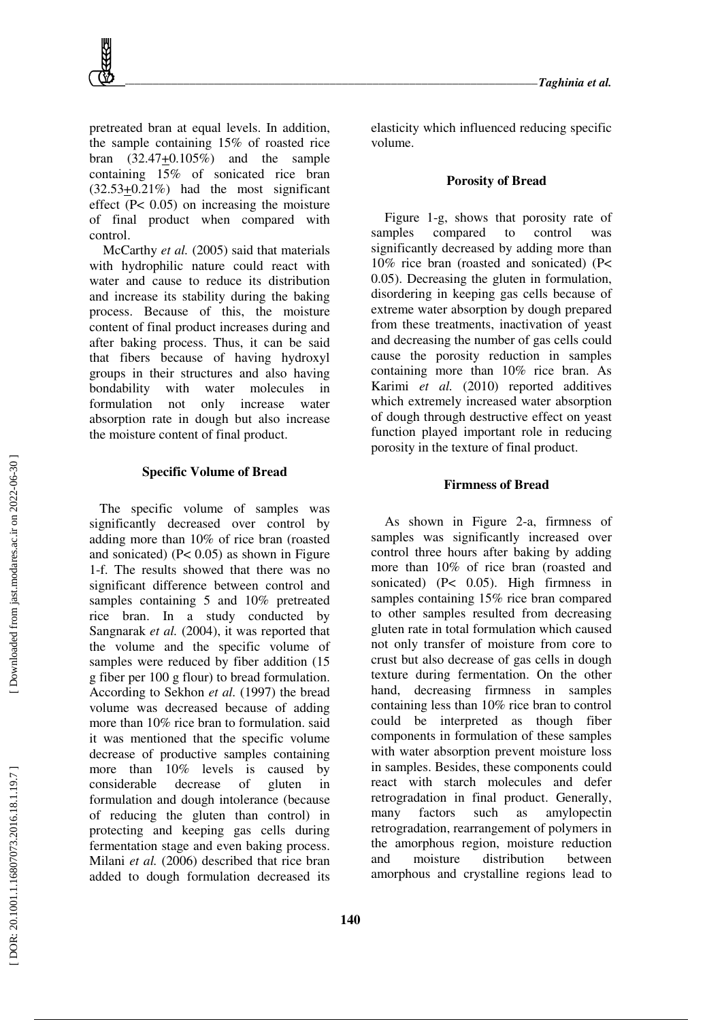pretreated bran at equal levels. In addition, the sample containing 15% of roasted rice bran (32.47+0.105%) and the sample containing 15% of sonicated rice bran (32.53+0.21%) had the most significant effect (P< 0.05) on increasing the moisture of final product when compared with control.

 McCarthy *et al.* (2005) said that materials with hydrophilic nature could react with water and cause to reduce its distribution and increase its stability during the baking process. Because of this, the moisture content of final product increases during and after baking process. Thus, it can be said that fibers because of having hydroxyl groups in their structures and also having bondability with water molecules in formulation not only increase water absorption rate in dough but also increase the moisture content of final product.

#### **Specific Volume of Bread**

The specific volume of samples was significantly decreased over control by adding more than 10% of rice bran (roasted and sonicated)  $(P< 0.05)$  as shown in Figure 1-f. The results showed that there was no significant difference between control and samples containing 5 and 10% pretreated rice bran. In a study conducted by Sangnarak *et al.* (2004), it was reported that the volume and the specific volume of samples were reduced by fiber addition (15 g fiber per 100 g flour) to bread formulation. According to Sekhon *et al.* (1997) the bread volume was decreased because of adding more than 10% rice bran to formulation. said it was mentioned that the specific volume decrease of productive samples containing more than 10% levels is caused by considerable decrease of gluten in formulation and dough intolerance (because of reducing the gluten than control) in protecting and keeping gas cells during fermentation stage and even baking process. Milani *et al.* (2006) described that rice bran added to dough formulation decreased its elasticity which influenced reducing specific volume.

#### **Porosity of Bread**

Figure 1-g, shows that porosity rate of samples compared to control was significantly decreased by adding more than 10% rice bran (roasted and sonicated) (P< 0.05). Decreasing the gluten in formulation, disordering in keeping gas cells because of extreme water absorption by dough prepared from these treatments, inactivation of yeast and decreasing the number of gas cells could cause the porosity reduction in samples containing more than 10% rice bran. As Karimi *et al.* (2010) reported additives which extremely increased water absorption of dough through destructive effect on yeast function played important role in reducing porosity in the texture of final product.

## **Firmness of Bread**

 As shown in Figure 2-a, firmness of samples was significantly increased over control three hours after baking by adding more than 10% of rice bran (roasted and sonicated) (P< 0.05). High firmness in samples containing 15% rice bran compared to other samples resulted from decreasing gluten rate in total formulation which caused not only transfer of moisture from core to crust but also decrease of gas cells in dough texture during fermentation. On the other hand, decreasing firmness in samples containing less than 10% rice bran to control could be interpreted as though fiber components in formulation of these samples with water absorption prevent moisture loss in samples. Besides, these components could react with starch molecules and defer retrogradation in final product. Generally, many factors such as amylopectin retrogradation, rearrangement of polymers in the amorphous region, moisture reduction and moisture distribution between amorphous and crystalline regions lead to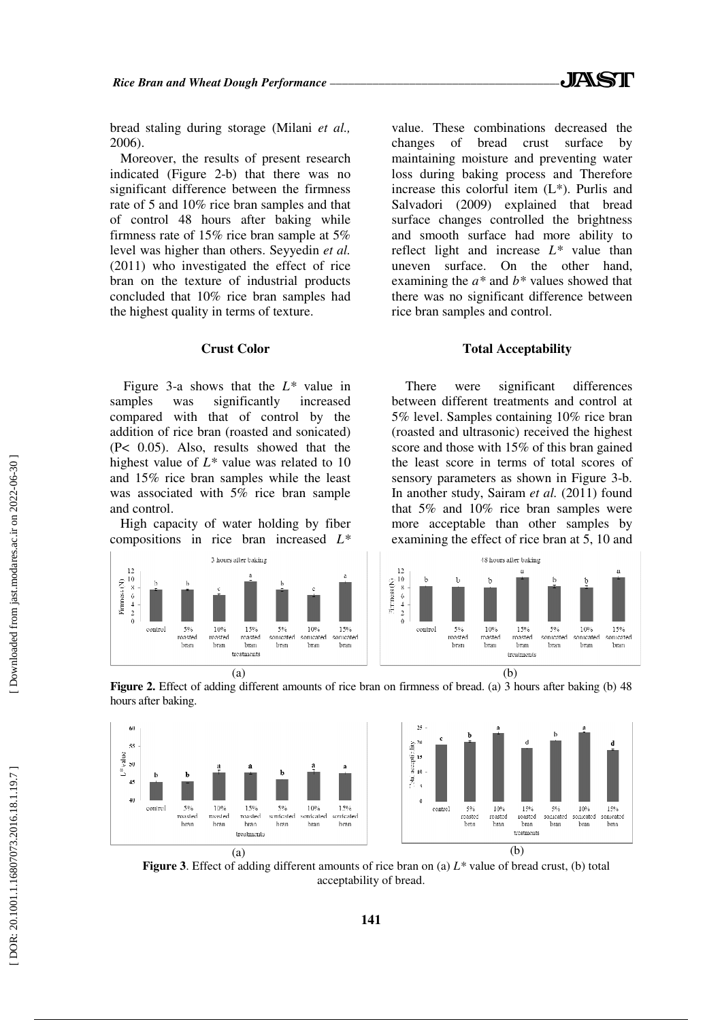bread staling during storage (Milani *et al.,* 2006).

Moreover, the results of present research indicated (Figure 2-b) that there was no significant difference between the firmness rate of 5 and 10% rice bran samples and that of control 48 hours after baking while firmness rate of 15% rice bran sample at 5% level was higher than others. Seyyedin *et al.* (2011) who investigated the effect of rice bran on the texture of industrial products concluded that 10% rice bran samples had the highest quality in terms of texture.

#### **Crust Color**

 Figure 3-a shows that the *L\** value in samples was significantly increased compared with that of control by the addition of rice bran (roasted and sonicated) (P< 0.05). Also, results showed that the highest value of *L\** value was related to 10 and 15% rice bran samples while the least was associated with 5% rice bran sample and control.

High capacity of water holding by fiber compositions in rice bran increased *L\**

value. These combinations decreased the changes of bread crust surface by maintaining moisture and preventing water loss during baking process and Therefore increase this colorful item (L\*). Purlis and Salvadori (2009) explained that bread surface changes controlled the brightness and smooth surface had more ability to reflect light and increase *L\** value than uneven surface. On the other hand, examining the *a\** and *b\** values showed that there was no significant difference between rice bran samples and control.

#### **Total Acceptability**

 There were significant differences between different treatments and control at 5% level. Samples containing 10% rice bran (roasted and ultrasonic) received the highest score and those with 15% of this bran gained the least score in terms of total scores of sensory parameters as shown in Figure 3-b. In another study, Sairam *et al.* (2011) found that 5% and 10% rice bran samples were more acceptable than other samples by examining the effect of rice bran at 5, 10 and







**Figure 3**. Effect of adding different amounts of rice bran on (a) *L\** value of bread crust, (b) total acceptability of bread.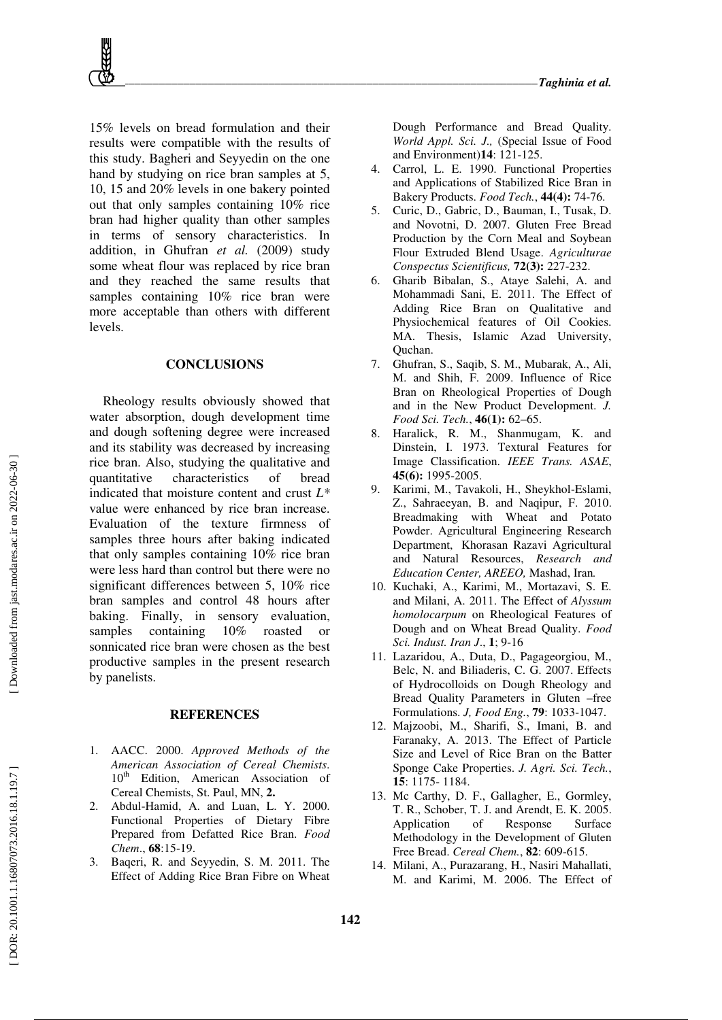15% levels on bread formulation and their results were compatible with the results of this study. Bagheri and Seyyedin on the one hand by studying on rice bran samples at 5, 10, 15 and 20% levels in one bakery pointed out that only samples containing 10% rice bran had higher quality than other samples in terms of sensory characteristics. In addition, in Ghufran *et al.* (2009) study some wheat flour was replaced by rice bran and they reached the same results that samples containing 10% rice bran were more acceptable than others with different levels.

## **CONCLUSIONS**

 Rheology results obviously showed that water absorption, dough development time and dough softening degree were increased and its stability was decreased by increasing rice bran. Also, studying the qualitative and quantitative characteristics of bread indicated that moisture content and crust *L\** value were enhanced by rice bran increase. Evaluation of the texture firmness of samples three hours after baking indicated that only samples containing 10% rice bran were less hard than control but there were no significant differences between 5, 10% rice bran samples and control 48 hours after baking. Finally, in sensory evaluation, samples containing 10% roasted or sonnicated rice bran were chosen as the best productive samples in the present research by panelists.

## **REFERENCES**

- 1. AACC. 2000. *Approved Methods of the American Association of Cereal Chemists*.  $10<sup>th</sup>$  Edition, American Association of Cereal Chemists, St. Paul, MN, **2.**
- 2. Abdul-Hamid, A. and Luan, L. Y. 2000. Functional Properties of Dietary Fibre Prepared from Defatted Rice Bran. *Food Chem*., **68**:15-19.
- 3. Baqeri, R. and Seyyedin, S. M. 2011. The Effect of Adding Rice Bran Fibre on Wheat

Dough Performance and Bread Quality. *World Appl. Sci. J.,* (Special Issue of Food and Environment)**14**: 121-125.

- Carrol, L. E. 1990. Functional Properties and Applications of Stabilized Rice Bran in Bakery Products. *Food Tech.*, **44(4):** 74-76.
- 5. Curic, D., Gabric, D., Bauman, I., Tusak, D. and Novotni, D. 2007. Gluten Free Bread Production by the Corn Meal and Soybean Flour Extruded Blend Usage. *Agriculturae Conspectus Scientificus,* **72(3):** 227-232.
- 6. Gharib Bibalan, S., Ataye Salehi, A. and Mohammadi Sani, E. 2011. The Effect of Adding Rice Bran on Qualitative and Physiochemical features of Oil Cookies. MA. Thesis, Islamic Azad University, Quchan.
- 7. Ghufran, S., Saqib, S. M., Mubarak, A., Ali, M. and Shih, F. 2009. Influence of Rice Bran on Rheological Properties of Dough and in the New Product Development. *J. Food Sci. Tech.*, **46(1):** 62–65.
- 8. Haralick, R. M., Shanmugam, K. and Dinstein, I. 1973. Textural Features for Image Classification. *IEEE Trans. ASAE*, **45(6):** 1995-2005.
- 9. Karimi, M., Tavakoli, H., Sheykhol-Eslami, Z., Sahraeeyan, B. and Naqipur, F. 2010. Breadmaking with Wheat and Potato Powder. Agricultural Engineering Research Department, Khorasan Razavi Agricultural and Natural Resources, *Research and Education Center, AREEO,* Mashad, Iran *.*
- 10. Kuchaki, A., Karimi, M., Mortazavi, S. E. and Milani, A. 2011. The Effect of *Alyssum homolocarpum* on Rheological Features of Dough and on Wheat Bread Quality. *Food Sci. Indust. Iran J*., **1**; 9-16
- 11. Lazaridou, A., Duta, D., Pagageorgiou, M., Belc, N. and Biliaderis, C. G. 2007. Effects of Hydrocolloids on Dough Rheology and Bread Quality Parameters in Gluten –free Formulations. *J, Food Eng.*, **79**: 1033-1047.
- 12. Majzoobi, M., Sharifi, S., Imani, B. and Faranaky, A. 2013. The Effect of Particle Size and Level of Rice Bran on the Batter Sponge Cake Properties. *J. Agri. Sci. Tech.*, **15**: 1175- 1184.
- 13. Mc Carthy, D. F., Gallagher, E., Gormley, T. R., Schober, T. J. and Arendt, E. K. 2005. Application of Response Surface Methodology in the Development of Gluten Free Bread. *Cereal Chem.*, **82**: 609-615.
- 14. Milani, A., Purazarang, H., Nasiri Mahallati, M. and Karimi, M. 2006. The Effect of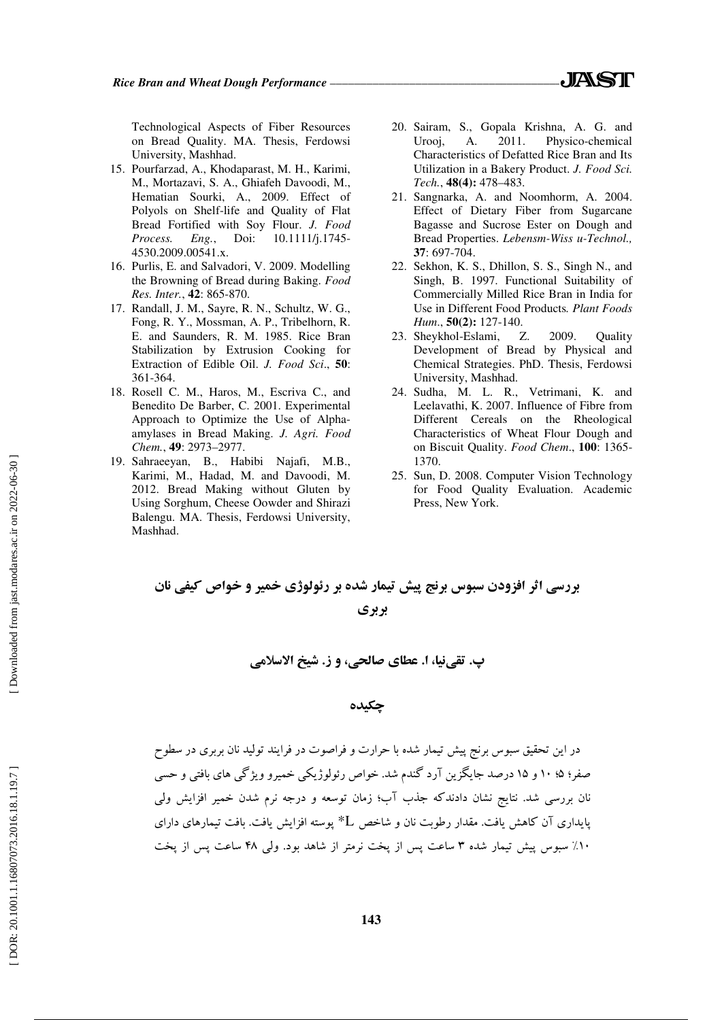Technological Aspects of Fiber Resources on Bread Quality. MA. Thesis, Ferdowsi University, Mashhad.

- 15. Pourfarzad, A., Khodaparast, M. H., Karimi, M., Mortazavi, S. A., Ghiafeh Davoodi, M., Hematian Sourki, A., 2009. Effect of Polyols on Shelf-life and Quality of Flat Bread Fortified with Soy Flour. *J. Food Process. Eng.*, Doi: 10.1111/j.1745- 4530.2009.00541.x.
- 16. Purlis, E. and Salvadori, V. 2009. Modelling the Browning of Bread during Baking. *Food Res. Inter.*, **42**: 865-870.
- 17. Randall, J. M., Sayre, R. N., Schultz, W. G., Fong, R. Y., Mossman, A. P., Tribelhorn, R. E. and Saunders, R. M. 1985. Rice Bran Stabilization by Extrusion Cooking for Extraction of Edible Oil. *J. Food Sci*., **50**: 361-364.
- 18. Rosell C. M., Haros, M., Escriva C., and Benedito De Barber, C. 2001. Experimental Approach to Optimize the Use of Alphaamylases in Bread Making. *J. Agri. Food Chem.*, **49**: 2973–2977.
- 19. Sahraeeyan, B., Habibi Najafi, M.B., Karimi, M., Hadad, M. and Davoodi, M. 2012. Bread Making without Gluten by Using Sorghum, Cheese Oowder and Shirazi Balengu. MA. Thesis, Ferdowsi University, Mashhad.
- 20. Sairam, S., Gopala Krishna, A. G. and Urooj, A. 2011. Physico-chemical Characteristics of Defatted Rice Bran and Its Utilization in a Bakery Product. *J. Food Sci. Tech.*, **48(4):** 478–483.
- 21. Sangnarka, A. and Noomhorm, A. 2004. Effect of Dietary Fiber from Sugarcane Bagasse and Sucrose Ester on Dough and Bread Properties. *Lebensm-Wiss u-Technol.,* **37**: 697-704.
- 22. Sekhon, K. S., Dhillon, S. S., Singh N., and Singh, B. 1997. Functional Suitability of Commercially Milled Rice Bran in India for Use in Different Food Products*. Plant Foods Hum*., **50(2):** 127-140.
- 23. Sheykhol-Eslami, Z. 2009. Quality Development of Bread by Physical and Chemical Strategies. PhD. Thesis, Ferdowsi University, Mashhad.
- 24. Sudha, M. L. R., Vetrimani, K. and Leelavathi, K. 2007. Influence of Fibre from Different Cereals on the Rheological Characteristics of Wheat Flour Dough and on Biscuit Quality. *Food Chem*., **100**: 1365- 1370.
- 25. Sun, D. 2008. Computer Vision Technology for Food Quality Evaluation. Academic Press, New York.

بررسي اثر افزودن سبوس برنج پيش تيمار شده بر رئولوژي خمير و خواص كيفي نان بربري

پ. تقينيا، ا. عطاي صالحي، و ز. شيخ الاسلامي

چكيده

در اين تحقيق سبوس برنج پيش تيمار شده با حرارت و فراصوت در فرايند توليد نان بربري در سطوح صفر؛ ۵؛ ۱۰ و ۱۵ درصد جايگزين آرد گندم شد. خواص رئولوژيكي خميرو ويژگي هاي بافتي و حسي نان بررسي شد. نتايج نشان دادندكه جذب آب؛ زمان توسعه و درجه نرم شدن خمير افزايش ولي پايداري آن كاهش يافت. مقدار رطوبت نان و شاخص L \*پوسته افزايش يافت. بافت تيمارهاي داراي %10 سبوس پيش تيمار شده 3 ساعت پس از پخت نرمتر از شاهد بود. ولي 48 ساعت پس از پخت